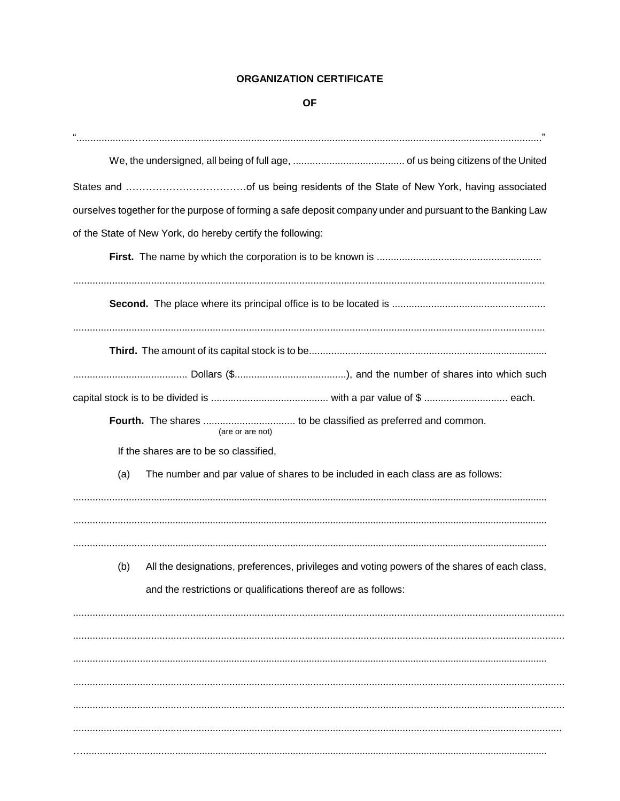## **ORGANIZATION CERTIFICATE**

## **OF**

|     | ourselves together for the purpose of forming a safe deposit company under and pursuant to the Banking Law |
|-----|------------------------------------------------------------------------------------------------------------|
|     | of the State of New York, do hereby certify the following:                                                 |
|     |                                                                                                            |
|     |                                                                                                            |
|     |                                                                                                            |
|     |                                                                                                            |
|     |                                                                                                            |
|     | (are or are not)                                                                                           |
|     | If the shares are to be so classified,                                                                     |
| (a) | The number and par value of shares to be included in each class are as follows:                            |
|     |                                                                                                            |
| (b) | All the designations, preferences, privileges and voting powers of the shares of each class,               |
|     | and the restrictions or qualifications thereof are as follows:                                             |
|     |                                                                                                            |
|     |                                                                                                            |
|     |                                                                                                            |
|     |                                                                                                            |
|     |                                                                                                            |
|     |                                                                                                            |
|     |                                                                                                            |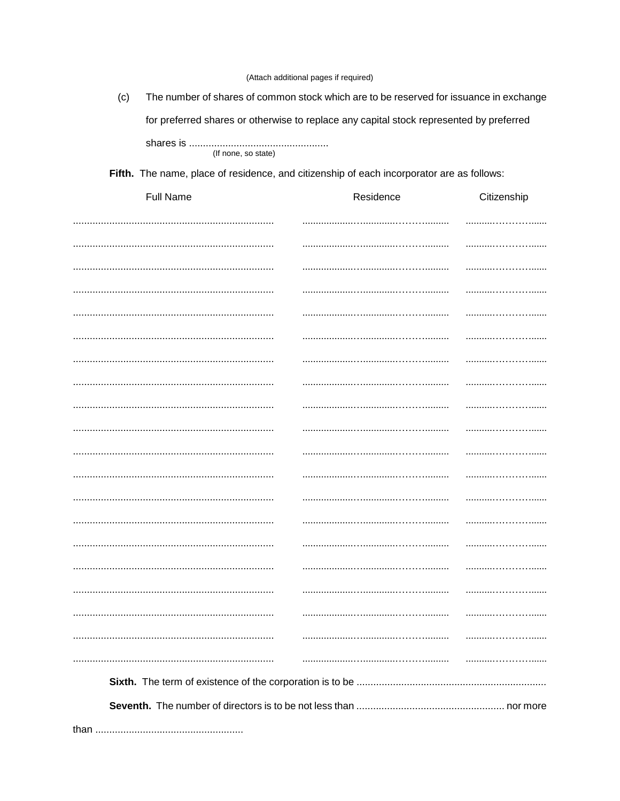(Attach additional pages if required)

| (c)                                                                                       | The number of shares of common stock which are to be reserved for issuance in exchange  |             |  |  |  |  |  |  |  |
|-------------------------------------------------------------------------------------------|-----------------------------------------------------------------------------------------|-------------|--|--|--|--|--|--|--|
|                                                                                           | for preferred shares or otherwise to replace any capital stock represented by preferred |             |  |  |  |  |  |  |  |
|                                                                                           |                                                                                         |             |  |  |  |  |  |  |  |
| (If none, so state)                                                                       |                                                                                         |             |  |  |  |  |  |  |  |
| Fifth. The name, place of residence, and citizenship of each incorporator are as follows: |                                                                                         |             |  |  |  |  |  |  |  |
| <b>Full Name</b>                                                                          | Residence                                                                               | Citizenship |  |  |  |  |  |  |  |
|                                                                                           |                                                                                         |             |  |  |  |  |  |  |  |
|                                                                                           |                                                                                         |             |  |  |  |  |  |  |  |
|                                                                                           |                                                                                         |             |  |  |  |  |  |  |  |
|                                                                                           |                                                                                         |             |  |  |  |  |  |  |  |
|                                                                                           |                                                                                         |             |  |  |  |  |  |  |  |
|                                                                                           |                                                                                         |             |  |  |  |  |  |  |  |
|                                                                                           |                                                                                         |             |  |  |  |  |  |  |  |
|                                                                                           |                                                                                         |             |  |  |  |  |  |  |  |
|                                                                                           |                                                                                         |             |  |  |  |  |  |  |  |
|                                                                                           |                                                                                         |             |  |  |  |  |  |  |  |
|                                                                                           |                                                                                         |             |  |  |  |  |  |  |  |
|                                                                                           |                                                                                         |             |  |  |  |  |  |  |  |
|                                                                                           |                                                                                         |             |  |  |  |  |  |  |  |
|                                                                                           |                                                                                         |             |  |  |  |  |  |  |  |
|                                                                                           |                                                                                         |             |  |  |  |  |  |  |  |
|                                                                                           |                                                                                         |             |  |  |  |  |  |  |  |
|                                                                                           |                                                                                         |             |  |  |  |  |  |  |  |
|                                                                                           |                                                                                         |             |  |  |  |  |  |  |  |
|                                                                                           |                                                                                         |             |  |  |  |  |  |  |  |
|                                                                                           |                                                                                         |             |  |  |  |  |  |  |  |
|                                                                                           |                                                                                         |             |  |  |  |  |  |  |  |
|                                                                                           |                                                                                         |             |  |  |  |  |  |  |  |
|                                                                                           |                                                                                         |             |  |  |  |  |  |  |  |
|                                                                                           |                                                                                         |             |  |  |  |  |  |  |  |
|                                                                                           |                                                                                         |             |  |  |  |  |  |  |  |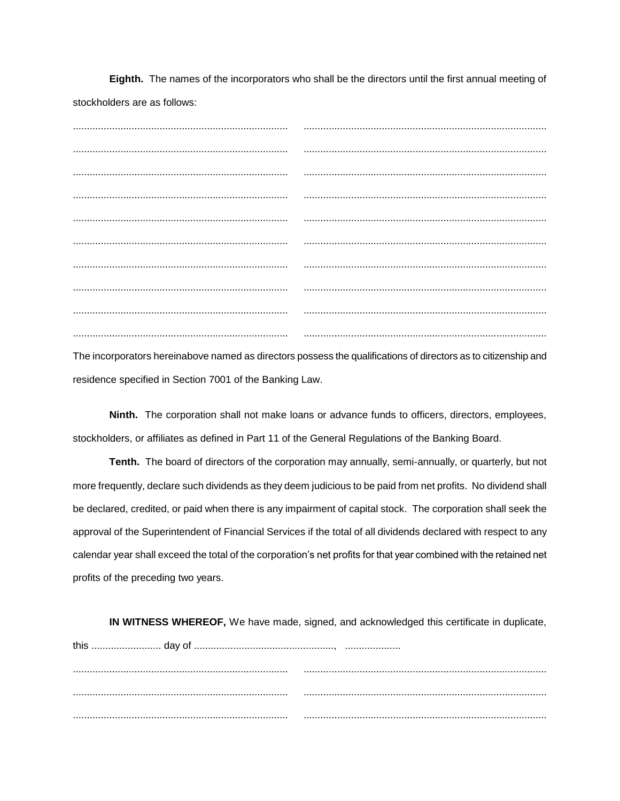Eighth. The names of the incorporators who shall be the directors until the first annual meeting of stockholders are as follows:

The incorporators hereinabove named as directors possess the qualifications of directors as to citizenship and residence specified in Section 7001 of the Banking Law.

Ninth. The corporation shall not make loans or advance funds to officers, directors, employees, stockholders, or affiliates as defined in Part 11 of the General Regulations of the Banking Board.

Tenth. The board of directors of the corporation may annually, semi-annually, or quarterly, but not more frequently, declare such dividends as they deem judicious to be paid from net profits. No dividend shall be declared, credited, or paid when there is any impairment of capital stock. The corporation shall seek the approval of the Superintendent of Financial Services if the total of all dividends declared with respect to any calendar year shall exceed the total of the corporation's net profits for that year combined with the retained net profits of the preceding two years.

IN WITNESS WHEREOF, We have made, signed, and acknowledged this certificate in duplicate,